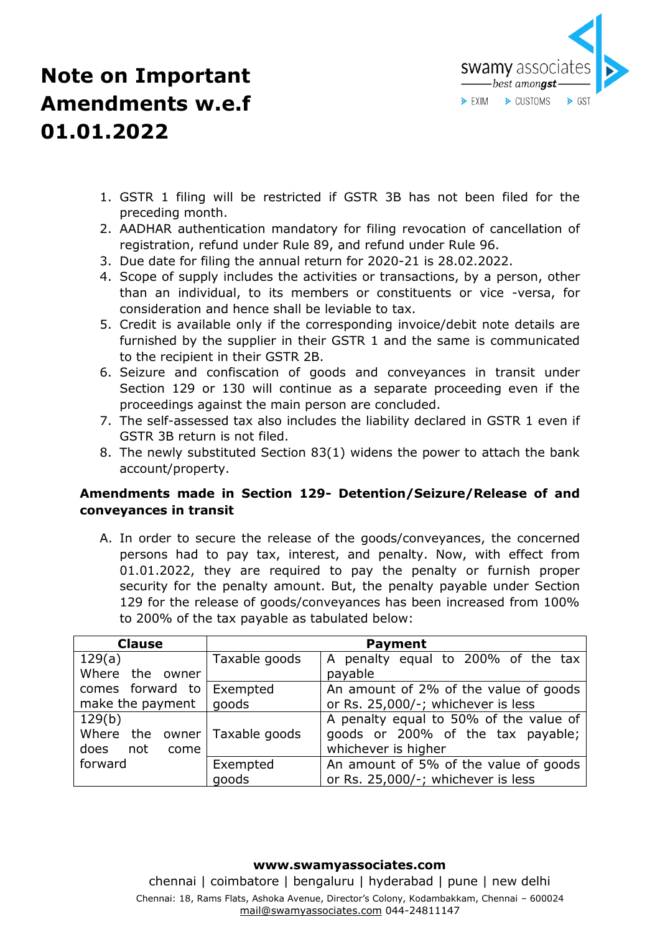

- 1. GSTR 1 filing will be restricted if GSTR 3B has not been filed for the preceding month.
- 2. AADHAR authentication mandatory for filing revocation of cancellation of registration, refund under Rule 89, and refund under Rule 96.
- 3. Due date for filing the annual return for 2020-21 is 28.02.2022.
- 4. Scope of supply includes the activities or transactions, by a person, other than an individual, to its members or constituents or vice -versa, for consideration and hence shall be leviable to tax.
- 5. Credit is available only if the corresponding invoice/debit note details are furnished by the supplier in their GSTR 1 and the same is communicated to the recipient in their GSTR 2B.
- 6. Seizure and confiscation of goods and conveyances in transit under Section 129 or 130 will continue as a separate proceeding even if the proceedings against the main person are concluded.
- 7. The self-assessed tax also includes the liability declared in GSTR 1 even if GSTR 3B return is not filed.
- 8. The newly substituted Section 83(1) widens the power to attach the bank account/property.

### **Amendments made in Section 129- Detention/Seizure/Release of and conveyances in transit**

A. In order to secure the release of the goods/conveyances, the concerned persons had to pay tax, interest, and penalty. Now, with effect from 01.01.2022, they are required to pay the penalty or furnish proper security for the penalty amount. But, the penalty payable under Section 129 for the release of goods/conveyances has been increased from 100% to 200% of the tax payable as tabulated below:

| <b>Clause</b>                                                  | <b>Payment</b>    |                                                                                                    |
|----------------------------------------------------------------|-------------------|----------------------------------------------------------------------------------------------------|
| 129(a)                                                         | Taxable goods     | A penalty equal to 200% of the tax                                                                 |
| Where the owner                                                |                   | payable                                                                                            |
| comes forward to   Exempted                                    |                   | An amount of 2% of the value of goods                                                              |
| make the payment                                               | goods             | or Rs. 25,000/-; whichever is less                                                                 |
| 129(b)<br>Where the owner Taxable goods<br>does<br>not<br>come |                   | A penalty equal to 50% of the value of<br>goods or 200% of the tax payable;<br>whichever is higher |
| forward                                                        | Exempted<br>goods | An amount of 5% of the value of goods<br>or Rs. 25,000/-; whichever is less                        |

#### **www.swamyassociates.com**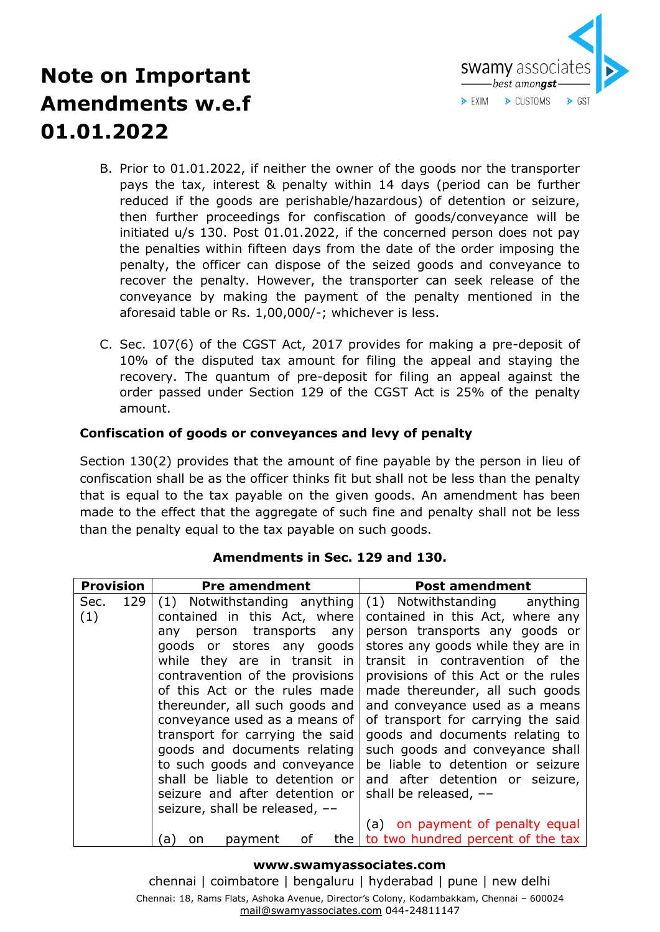

- B. Prior to 01.01.2022, if neither the owner of the goods nor the transporter pays the tax, interest & penalty within 14 days (period can be further reduced if the goods are perishable/hazardous) of detention or seizure, then further proceedings for confiscation of goods/conveyance will be initiated u/s 130. Post 01.01.2022, if the concerned person does not pay the penalties within fifteen days from the date of the order imposing the penalty, the officer can dispose of the seized goods and conveyance to recover the penalty. However, the transporter can seek release of the conveyance by making the payment of the penalty mentioned in the aforesaid table or Rs. 1,00,000/-; whichever is less.
- C. Sec. 107(6) of the CGST Act, 2017 provides for making a pre-deposit of 10% of the disputed tax amount for filing the appeal and staying the recovery. The quantum of pre-deposit for filing an appeal against the order passed under Section 129 of the CGST Act is 25% of the penalty amount.

### **Confiscation of goods or conveyances and levy of penalty**

Section 130(2) provides that the amount of fine payable by the person in lieu of confiscation shall be as the officer thinks fit but shall not be less than the penalty that is equal to the tax payable on the given goods. An amendment has been made to the effect that the aggregate of such fine and penalty shall not be less than the penalty equal to the tax payable on such goods.

| <b>Provision</b> | <b>Pre amendment</b>            | <b>Post amendment</b>               |
|------------------|---------------------------------|-------------------------------------|
| 129<br>Sec.      | (1) Notwithstanding anything    | (1) Notwithstanding<br>anything     |
| (1)              | contained in this Act, where    | contained in this Act, where any    |
|                  | person transports any<br>anv    | person transports any goods or      |
|                  | goods or stores any goods       | stores any goods while they are in  |
|                  | while they are in transit in    | transit in contravention of the     |
|                  | contravention of the provisions | provisions of this Act or the rules |
|                  | of this Act or the rules made   | made thereunder, all such goods     |
|                  | thereunder, all such goods and  | and conveyance used as a means      |
|                  | conveyance used as a means of   | of transport for carrying the said  |
|                  | transport for carrying the said | goods and documents relating to     |
|                  | goods and documents relating    | such goods and conveyance shall     |
|                  | to such goods and conveyance    | be liable to detention or seizure   |
|                  | shall be liable to detention or | and after detention or seizure,     |
|                  | seizure and after detention or  | shall be released, --               |
|                  | seizure, shall be released, --  |                                     |
|                  |                                 | (a) on payment of penalty equal     |
|                  | οf<br>the<br>a<br>on<br>payment | to two hundred percent of the tax   |

### **Amendments in Sec. 129 and 130.**

#### **www.swamyassociates.com**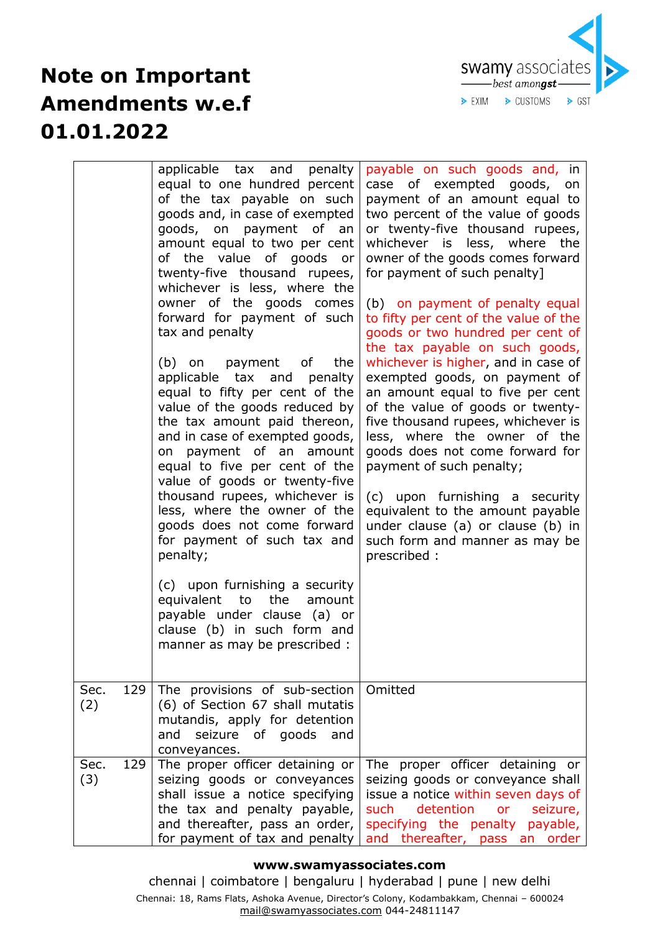

|                    | applicable tax and penalty<br>equal to one hundred percent<br>of the tax payable on such<br>goods and, in case of exempted<br>goods, on payment of an<br>amount equal to two per cent<br>of the value of goods or<br>twenty-five thousand rupees,<br>whichever is less, where the<br>owner of the goods comes<br>forward for payment of such<br>tax and penalty<br>(b) on payment of<br>the<br>applicable tax<br>penalty<br>and<br>equal to fifty per cent of the<br>value of the goods reduced by<br>the tax amount paid thereon,<br>and in case of exempted goods,<br>on payment of an amount<br>equal to five per cent of the<br>value of goods or twenty-five<br>thousand rupees, whichever is<br>less, where the owner of the<br>goods does not come forward<br>for payment of such tax and<br>penalty;<br>(c) upon furnishing a security<br>equivalent to<br>the<br>amount<br>payable under clause (a) or<br>clause (b) in such form and<br>manner as may be prescribed : | payable on such goods and, in<br>case of exempted goods, on<br>payment of an amount equal to<br>two percent of the value of goods<br>or twenty-five thousand rupees,<br>whichever is less, where<br>the<br>owner of the goods comes forward<br>for payment of such penalty]<br>(b) on payment of penalty equal<br>to fifty per cent of the value of the<br>goods or two hundred per cent of<br>the tax payable on such goods,<br>whichever is higher, and in case of<br>exempted goods, on payment of<br>an amount equal to five per cent<br>of the value of goods or twenty-<br>five thousand rupees, whichever is<br>less, where the owner of the<br>goods does not come forward for<br>payment of such penalty;<br>(c) upon furnishing a security<br>equivalent to the amount payable<br>under clause (a) or clause (b) in<br>such form and manner as may be<br>prescribed: |
|--------------------|---------------------------------------------------------------------------------------------------------------------------------------------------------------------------------------------------------------------------------------------------------------------------------------------------------------------------------------------------------------------------------------------------------------------------------------------------------------------------------------------------------------------------------------------------------------------------------------------------------------------------------------------------------------------------------------------------------------------------------------------------------------------------------------------------------------------------------------------------------------------------------------------------------------------------------------------------------------------------------|--------------------------------------------------------------------------------------------------------------------------------------------------------------------------------------------------------------------------------------------------------------------------------------------------------------------------------------------------------------------------------------------------------------------------------------------------------------------------------------------------------------------------------------------------------------------------------------------------------------------------------------------------------------------------------------------------------------------------------------------------------------------------------------------------------------------------------------------------------------------------------|
| 129<br>Sec.<br>(2) | The provisions of sub-section<br>(6) of Section 67 shall mutatis<br>mutandis, apply for detention<br>seizure of goods<br>and<br>and<br>conveyances.                                                                                                                                                                                                                                                                                                                                                                                                                                                                                                                                                                                                                                                                                                                                                                                                                             | Omitted                                                                                                                                                                                                                                                                                                                                                                                                                                                                                                                                                                                                                                                                                                                                                                                                                                                                        |
| 129<br>Sec.<br>(3) | The proper officer detaining or<br>seizing goods or conveyances<br>shall issue a notice specifying<br>the tax and penalty payable,<br>and thereafter, pass an order,<br>for payment of tax and penalty                                                                                                                                                                                                                                                                                                                                                                                                                                                                                                                                                                                                                                                                                                                                                                          | The proper officer detaining or<br>seizing goods or conveyance shall<br>issue a notice within seven days of<br>detention<br>such<br>seizure,<br>or<br>specifying the penalty payable,<br>and thereafter, pass an order                                                                                                                                                                                                                                                                                                                                                                                                                                                                                                                                                                                                                                                         |

### **www.swamyassociates.com**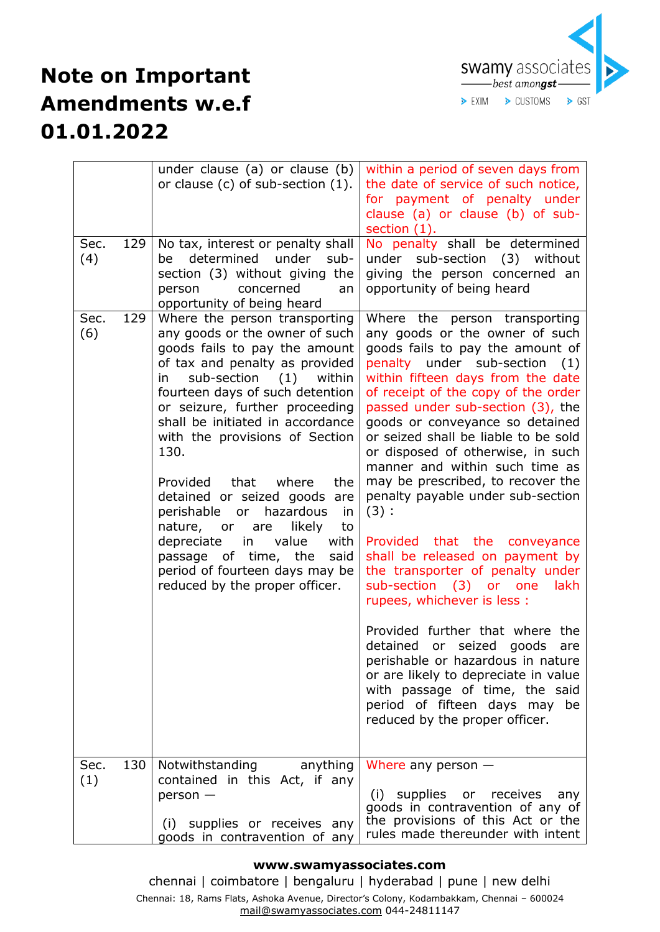

| Sec.<br>129<br>(4) | under clause (a) or clause (b)<br>or clause $(c)$ of sub-section $(1)$ .<br>No tax, interest or penalty shall<br>determined under sub-<br>be<br>section (3) without giving the<br>concerned<br>person<br>an<br>opportunity of being heard                                                                                                                                                                                                                                                                                                                                                             | within a period of seven days from<br>the date of service of such notice,<br>for payment of penalty under<br>clause (a) or clause (b) of sub-<br>section $(1)$ .<br>No penalty shall be determined<br>under sub-section (3) without<br>giving the person concerned an<br>opportunity of being heard                                                                                                                                                                                                                                                                                                                                                                                                                                                                                                                                                                                                                                |
|--------------------|-------------------------------------------------------------------------------------------------------------------------------------------------------------------------------------------------------------------------------------------------------------------------------------------------------------------------------------------------------------------------------------------------------------------------------------------------------------------------------------------------------------------------------------------------------------------------------------------------------|------------------------------------------------------------------------------------------------------------------------------------------------------------------------------------------------------------------------------------------------------------------------------------------------------------------------------------------------------------------------------------------------------------------------------------------------------------------------------------------------------------------------------------------------------------------------------------------------------------------------------------------------------------------------------------------------------------------------------------------------------------------------------------------------------------------------------------------------------------------------------------------------------------------------------------|
| 129<br>Sec.<br>(6) | Where the person transporting<br>any goods or the owner of such<br>goods fails to pay the amount<br>of tax and penalty as provided<br>sub-section (1) within<br>in<br>fourteen days of such detention<br>or seizure, further proceeding<br>shall be initiated in accordance<br>with the provisions of Section<br>130.<br>that where<br>Provided<br>the<br>detained or seized goods are<br>perishable or hazardous<br>in<br>nature, or<br>likely<br>to<br>are<br>depreciate<br>in<br>value<br>with<br>passage of time, the<br>said<br>period of fourteen days may be<br>reduced by the proper officer. | Where the person transporting<br>any goods or the owner of such<br>goods fails to pay the amount of<br>penalty under sub-section<br>(1)<br>within fifteen days from the date<br>of receipt of the copy of the order<br>passed under sub-section (3), the<br>goods or conveyance so detained<br>or seized shall be liable to be sold<br>or disposed of otherwise, in such<br>manner and within such time as<br>may be prescribed, to recover the<br>penalty payable under sub-section<br>(3):<br>that the conveyance<br>Provided<br>shall be released on payment by<br>the transporter of penalty under<br>sub-section (3) or one<br>lakh<br>rupees, whichever is less :<br>Provided further that where the<br>detained or seized goods<br>are<br>perishable or hazardous in nature<br>or are likely to depreciate in value<br>with passage of time, the said<br>period of fifteen days may<br>be<br>reduced by the proper officer. |
| 130<br>Sec.<br>(1) | Notwithstanding<br>anything<br>contained in this Act, if any<br>$person -$<br>(i) supplies or receives any<br>goods in contravention of any                                                                                                                                                                                                                                                                                                                                                                                                                                                           | Where any person $-$<br>supplies<br>(i)<br>receives<br>or<br>any<br>goods in contravention of any of<br>the provisions of this Act or the<br>rules made thereunder with intent                                                                                                                                                                                                                                                                                                                                                                                                                                                                                                                                                                                                                                                                                                                                                     |

#### **www.swamyassociates.com**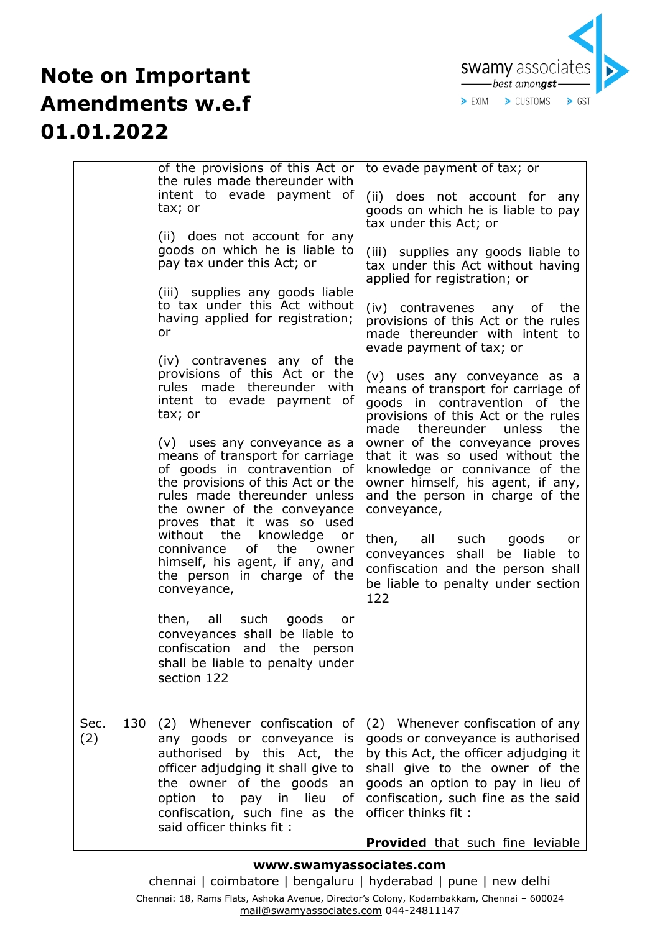

|                    | of the provisions of this Act or<br>the rules made thereunder with<br>intent to evade payment of<br>tax; or<br>(ii) does not account for any<br>goods on which he is liable to<br>pay tax under this Act; or<br>(iii) supplies any goods liable<br>to tax under this Act without<br>having applied for registration;<br>or<br>(iv) contravenes any of the<br>provisions of this Act or the<br>rules made thereunder with<br>intent to evade payment of<br>tax; or<br>(v) uses any conveyance as a<br>means of transport for carriage<br>of goods in contravention of<br>the provisions of this Act or the<br>rules made thereunder unless<br>the owner of the conveyance<br>proves that it was so used<br>without the knowledge<br>or<br>of the<br>connivance<br>owner<br>himself, his agent, if any, and<br>the person in charge of the<br>conveyance,<br>then, all such goods<br>or<br>conveyances shall be liable to<br>confiscation and the person<br>shall be liable to penalty under | to evade payment of tax; or<br>(ii) does not account for any<br>goods on which he is liable to pay<br>tax under this Act; or<br>(iii) supplies any goods liable to<br>tax under this Act without having<br>applied for registration; or<br>(iv) contravenes any of the<br>provisions of this Act or the rules<br>made thereunder with intent to<br>evade payment of tax; or<br>(v) uses any conveyance as a<br>means of transport for carriage of<br>goods in contravention of the<br>provisions of this Act or the rules<br>made<br>thereunder unless<br>the<br>owner of the conveyance proves<br>that it was so used without the<br>knowledge or connivance of the<br>owner himself, his agent, if any,<br>and the person in charge of the<br>conveyance,<br>then, all such goods<br>or<br>conveyances shall be liable to<br>confiscation and the person shall<br>be liable to penalty under section<br>122 |
|--------------------|--------------------------------------------------------------------------------------------------------------------------------------------------------------------------------------------------------------------------------------------------------------------------------------------------------------------------------------------------------------------------------------------------------------------------------------------------------------------------------------------------------------------------------------------------------------------------------------------------------------------------------------------------------------------------------------------------------------------------------------------------------------------------------------------------------------------------------------------------------------------------------------------------------------------------------------------------------------------------------------------|---------------------------------------------------------------------------------------------------------------------------------------------------------------------------------------------------------------------------------------------------------------------------------------------------------------------------------------------------------------------------------------------------------------------------------------------------------------------------------------------------------------------------------------------------------------------------------------------------------------------------------------------------------------------------------------------------------------------------------------------------------------------------------------------------------------------------------------------------------------------------------------------------------------|
|                    | section 122                                                                                                                                                                                                                                                                                                                                                                                                                                                                                                                                                                                                                                                                                                                                                                                                                                                                                                                                                                                |                                                                                                                                                                                                                                                                                                                                                                                                                                                                                                                                                                                                                                                                                                                                                                                                                                                                                                               |
| Sec.<br>130<br>(2) | (2) Whenever confiscation of<br>any goods or conveyance is<br>authorised by this Act, the<br>officer adjudging it shall give to<br>the owner of the goods an<br>option to<br>pay in lieu<br>of<br>confiscation, such fine as the<br>said officer thinks fit:                                                                                                                                                                                                                                                                                                                                                                                                                                                                                                                                                                                                                                                                                                                               | (2) Whenever confiscation of any<br>goods or conveyance is authorised<br>by this Act, the officer adjudging it<br>shall give to the owner of the<br>goods an option to pay in lieu of<br>confiscation, such fine as the said<br>officer thinks fit:<br><b>Provided</b> that such fine leviable                                                                                                                                                                                                                                                                                                                                                                                                                                                                                                                                                                                                                |

### **www.swamyassociates.com**